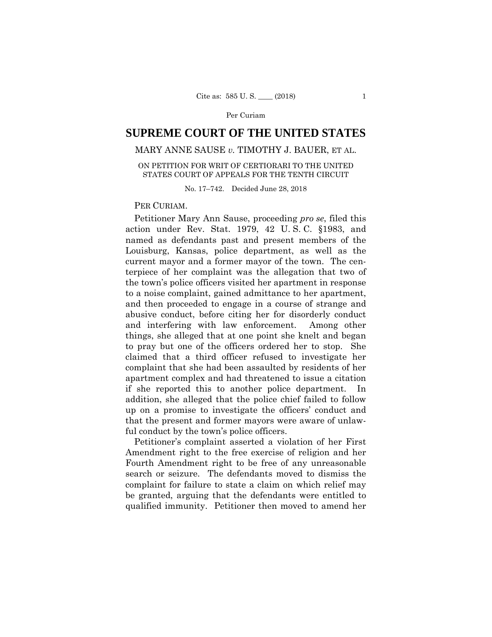# **SUPREME COURT OF THE UNITED STATES**

# MARY ANNE SAUSE *v.* TIMOTHY J. BAUER, ET AL.

### ON PETITION FOR WRIT OF CERTIORARI TO THE UNITED STATES COURT OF APPEALS FOR THE TENTH CIRCUIT

No. 17–742. Decided June 28, 2018

#### PER CURIAM.

Petitioner Mary Ann Sause, proceeding *pro se*, filed this action under Rev. Stat. 1979, 42 U. S. C. §1983, and named as defendants past and present members of the Louisburg, Kansas, police department, as well as the current mayor and a former mayor of the town. The centerpiece of her complaint was the allegation that two of the town's police officers visited her apartment in response to a noise complaint, gained admittance to her apartment, and then proceeded to engage in a course of strange and abusive conduct, before citing her for disorderly conduct and interfering with law enforcement. Among other things, she alleged that at one point she knelt and began to pray but one of the officers ordered her to stop. She claimed that a third officer refused to investigate her complaint that she had been assaulted by residents of her apartment complex and had threatened to issue a citation if she reported this to another police department. In addition, she alleged that the police chief failed to follow up on a promise to investigate the officers' conduct and that the present and former mayors were aware of unlawful conduct by the town's police officers.

 Petitioner's complaint asserted a violation of her First Amendment right to the free exercise of religion and her Fourth Amendment right to be free of any unreasonable search or seizure. The defendants moved to dismiss the complaint for failure to state a claim on which relief may be granted, arguing that the defendants were entitled to qualified immunity. Petitioner then moved to amend her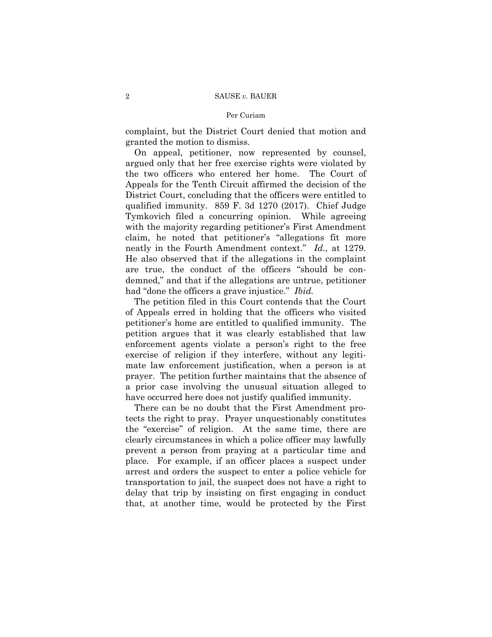complaint, but the District Court denied that motion and granted the motion to dismiss.

On appeal, petitioner, now represented by counsel, argued only that her free exercise rights were violated by the two officers who entered her home. The Court of Appeals for the Tenth Circuit affirmed the decision of the District Court, concluding that the officers were entitled to qualified immunity. 859 F. 3d 1270 (2017). Chief Judge Tymkovich filed a concurring opinion. While agreeing with the majority regarding petitioner's First Amendment claim, he noted that petitioner's "allegations fit more neatly in the Fourth Amendment context." *Id.,* at 1279. He also observed that if the allegations in the complaint are true, the conduct of the officers "should be condemned," and that if the allegations are untrue, petitioner had "done the officers a grave injustice." *Ibid.* 

The petition filed in this Court contends that the Court of Appeals erred in holding that the officers who visited petitioner's home are entitled to qualified immunity. The petition argues that it was clearly established that law enforcement agents violate a person's right to the free exercise of religion if they interfere, without any legitimate law enforcement justification, when a person is at prayer. The petition further maintains that the absence of a prior case involving the unusual situation alleged to have occurred here does not justify qualified immunity.

There can be no doubt that the First Amendment protects the right to pray. Prayer unquestionably constitutes the "exercise" of religion. At the same time, there are clearly circumstances in which a police officer may lawfully prevent a person from praying at a particular time and place. For example, if an officer places a suspect under arrest and orders the suspect to enter a police vehicle for transportation to jail, the suspect does not have a right to delay that trip by insisting on first engaging in conduct that, at another time, would be protected by the First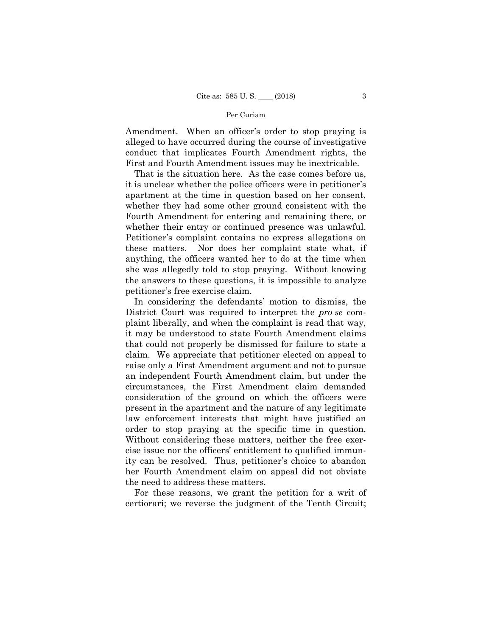Amendment. When an officer's order to stop praying is alleged to have occurred during the course of investigative conduct that implicates Fourth Amendment rights, the First and Fourth Amendment issues may be inextricable.

That is the situation here. As the case comes before us, it is unclear whether the police officers were in petitioner's apartment at the time in question based on her consent, whether they had some other ground consistent with the Fourth Amendment for entering and remaining there, or whether their entry or continued presence was unlawful. Petitioner's complaint contains no express allegations on these matters. Nor does her complaint state what, if anything, the officers wanted her to do at the time when she was allegedly told to stop praying. Without knowing the answers to these questions, it is impossible to analyze petitioner's free exercise claim.

In considering the defendants' motion to dismiss, the District Court was required to interpret the *pro se* complaint liberally, and when the complaint is read that way, it may be understood to state Fourth Amendment claims that could not properly be dismissed for failure to state a claim. We appreciate that petitioner elected on appeal to raise only a First Amendment argument and not to pursue an independent Fourth Amendment claim, but under the circumstances, the First Amendment claim demanded consideration of the ground on which the officers were present in the apartment and the nature of any legitimate law enforcement interests that might have justified an order to stop praying at the specific time in question. Without considering these matters, neither the free exercise issue nor the officers' entitlement to qualified immunity can be resolved. Thus, petitioner's choice to abandon her Fourth Amendment claim on appeal did not obviate the need to address these matters.

For these reasons, we grant the petition for a writ of certiorari; we reverse the judgment of the Tenth Circuit;